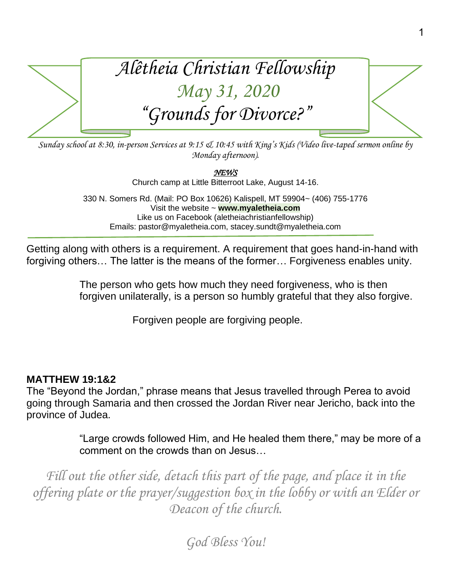

*Sunday school at 8:30, in-person Services at 9:15 & 10:45 with King's Kids (Video live-taped sermon online by Monday afternoon).*

*NEWS* 

Church camp at Little Bitterroot Lake, August 14-16.

330 N. Somers Rd. (Mail: PO Box 10626) Kalispell, MT 59904~ (406) 755-1776 Visit the website ~ **www.myaletheia.com** Like us on Facebook (aletheiachristianfellowship) Emails: pastor@myaletheia.com, stacey.sundt@myaletheia.com

Getting along with others is a requirement. A requirement that goes hand-in-hand with forgiving others… The latter is the means of the former… Forgiveness enables unity.

> The person who gets how much they need forgiveness, who is then forgiven unilaterally, is a person so humbly grateful that they also forgive.

> > Forgiven people are forgiving people.

### **MATTHEW 19:1&2**

The "Beyond the Jordan," phrase means that Jesus travelled through Perea to avoid going through Samaria and then crossed the Jordan River near Jericho, back into the province of Judea.

> "Large crowds followed Him, and He healed them there," may be more of a comment on the crowds than on Jesus…

Fill out the other side, detach this part of the page, and place it in the *offering plate or the prayer/suggestion box in the lobby or with an Elder or Deacon of the church.*

*God Bless You!*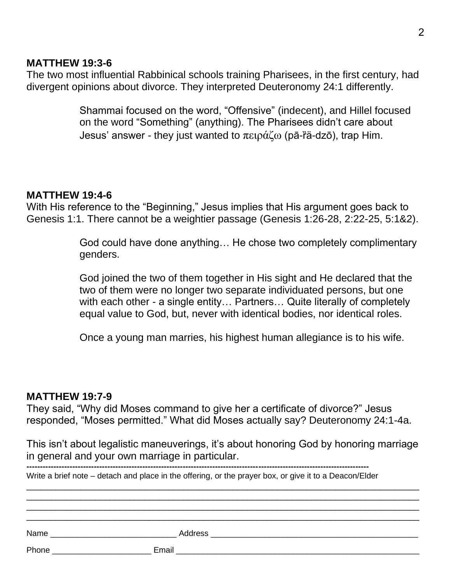#### **MATTHEW 19:3-6**

The two most influential Rabbinical schools training Pharisees, in the first century, had divergent opinions about divorce. They interpreted Deuteronomy 24:1 differently.

> Shammai focused on the word, "Offensive" (indecent), and Hillel focused on the word "Something" (anything). The Pharisees didn't care about Jesus' answer - they just wanted to  $\pi \epsilon \rho \alpha \zeta$  (pā-r̃ä-dzō), trap Him.

#### **MATTHEW 19:4-6**

With His reference to the "Beginning," Jesus implies that His argument goes back to Genesis 1:1. There cannot be a weightier passage (Genesis 1:26-28, 2:22-25, 5:1&2).

> God could have done anything… He chose two completely complimentary genders.

God joined the two of them together in His sight and He declared that the two of them were no longer two separate individuated persons, but one with each other - a single entity... Partners... Quite literally of completely equal value to God, but, never with identical bodies, nor identical roles.

Once a young man marries, his highest human allegiance is to his wife.

#### **MATTHEW 19:7-9**

They said, "Why did Moses command to give her a certificate of divorce?" Jesus responded, "Moses permitted." What did Moses actually say? Deuteronomy 24:1-4a.

This isn't about legalistic maneuverings, it's about honoring God by honoring marriage in general and your own marriage in particular.

**-------------------------------------------------------------------------------------------------------------------------------** Write a brief note – detach and place in the offering, or the prayer box, or give it to a Deacon/Elder

| Phone<br><u> 1989 - Johann Barn, mars eta bainar eta i</u> |  |  |
|------------------------------------------------------------|--|--|
|                                                            |  |  |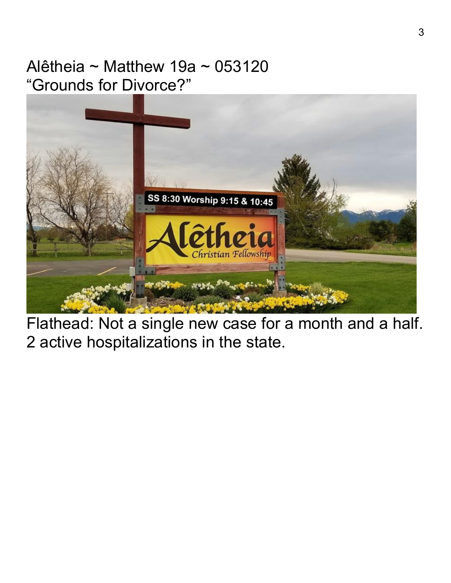## Alêtheia ~ Matthew 19a ~ 053120 "Grounds for Divorce?"



Flathead: Not a single new case for a month and a half. 2 active hospitalizations in the state.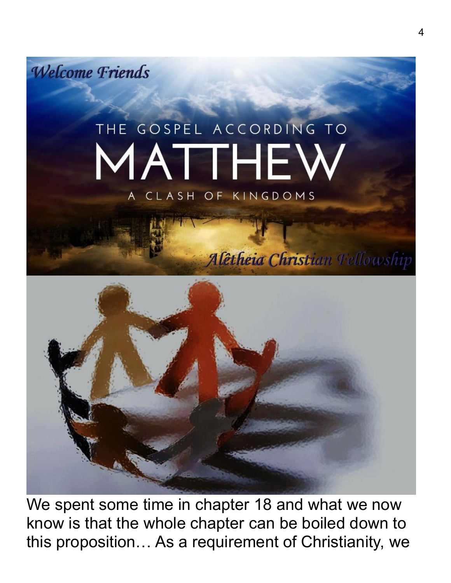**Welcome Friends** 

# THE GOSPEL ACCORDING TO MATTHEV A CLASH OF KINGDOMS



We spent some time in chapter 18 and what we now know is that the whole chapter can be boiled down to this proposition… As a requirement of Christianity, we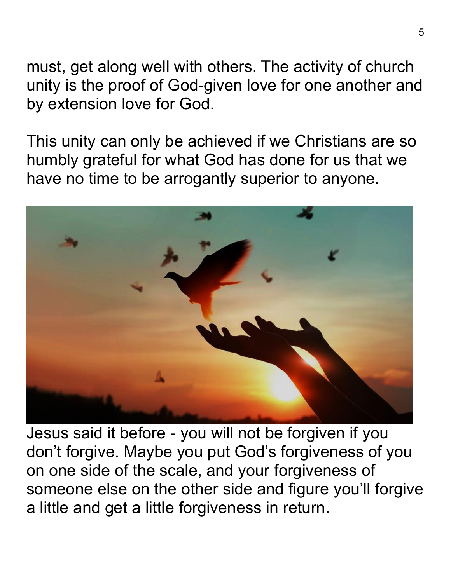must, get along well with others. The activity of church unity is the proof of God-given love for one another and by extension love for God.

This unity can only be achieved if we Christians are so humbly grateful for what God has done for us that we have no time to be arrogantly superior to anyone.



Jesus said it before - you will not be forgiven if you don't forgive. Maybe you put God's forgiveness of you on one side of the scale, and your forgiveness of someone else on the other side and figure you'll forgive a little and get a little forgiveness in return.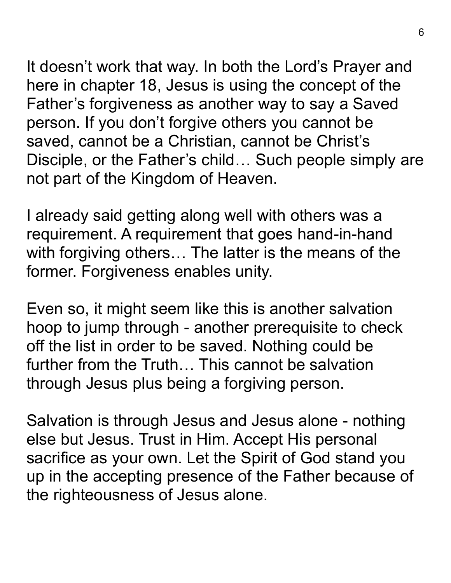It doesn't work that way. In both the Lord's Prayer and here in chapter 18, Jesus is using the concept of the Father's forgiveness as another way to say a Saved person. If you don't forgive others you cannot be saved, cannot be a Christian, cannot be Christ's Disciple, or the Father's child… Such people simply are not part of the Kingdom of Heaven.

I already said getting along well with others was a requirement. A requirement that goes hand-in-hand with forgiving others… The latter is the means of the former. Forgiveness enables unity.

Even so, it might seem like this is another salvation hoop to jump through - another prerequisite to check off the list in order to be saved. Nothing could be further from the Truth… This cannot be salvation through Jesus plus being a forgiving person.

Salvation is through Jesus and Jesus alone - nothing else but Jesus. Trust in Him. Accept His personal sacrifice as your own. Let the Spirit of God stand you up in the accepting presence of the Father because of the righteousness of Jesus alone.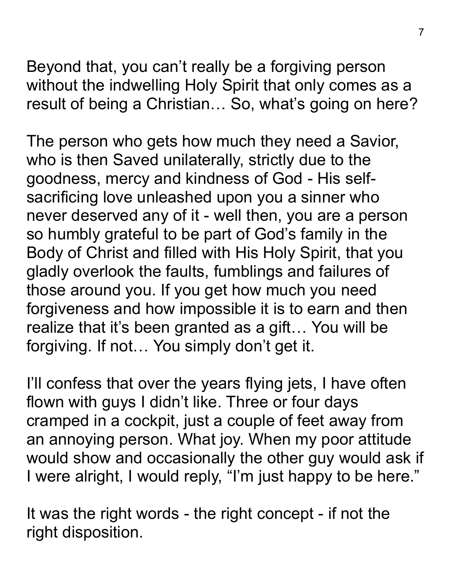Beyond that, you can't really be a forgiving person without the indwelling Holy Spirit that only comes as a result of being a Christian… So, what's going on here?

The person who gets how much they need a Savior, who is then Saved unilaterally, strictly due to the goodness, mercy and kindness of God - His selfsacrificing love unleashed upon you a sinner who never deserved any of it - well then, you are a person so humbly grateful to be part of God's family in the Body of Christ and filled with His Holy Spirit, that you gladly overlook the faults, fumblings and failures of those around you. If you get how much you need forgiveness and how impossible it is to earn and then realize that it's been granted as a gift… You will be forgiving. If not… You simply don't get it.

I'll confess that over the years flying jets, I have often flown with guys I didn't like. Three or four days cramped in a cockpit, just a couple of feet away from an annoying person. What joy. When my poor attitude would show and occasionally the other guy would ask if I were alright, I would reply, "I'm just happy to be here."

It was the right words - the right concept - if not the right disposition.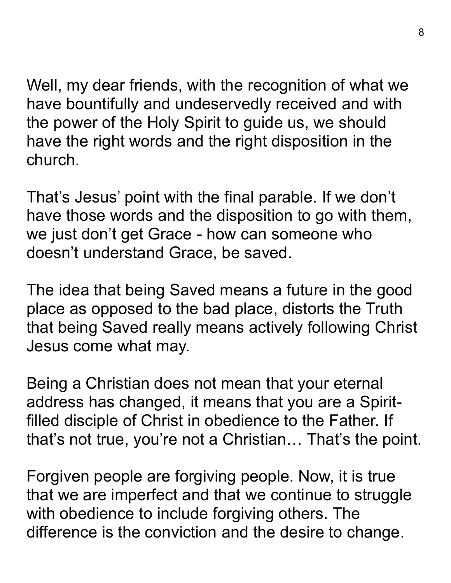Well, my dear friends, with the recognition of what we have bountifully and undeservedly received and with the power of the Holy Spirit to guide us, we should have the right words and the right disposition in the church.

That's Jesus' point with the final parable. If we don't have those words and the disposition to go with them, we just don't get Grace - how can someone who doesn't understand Grace, be saved.

The idea that being Saved means a future in the good place as opposed to the bad place, distorts the Truth that being Saved really means actively following Christ Jesus come what may.

Being a Christian does not mean that your eternal address has changed, it means that you are a Spiritfilled disciple of Christ in obedience to the Father. If that's not true, you're not a Christian… That's the point.

Forgiven people are forgiving people. Now, it is true that we are imperfect and that we continue to struggle with obedience to include forgiving others. The difference is the conviction and the desire to change.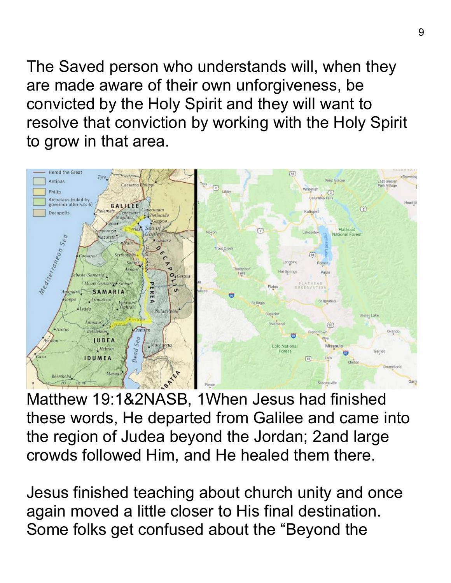The Saved person who understands will, when they are made aware of their own unforgiveness, be convicted by the Holy Spirit and they will want to resolve that conviction by working with the Holy Spirit to grow in that area.



Matthew 19:1&2NASB, 1When Jesus had finished these words, He departed from Galilee and came into the region of Judea beyond the Jordan; 2and large crowds followed Him, and He healed them there.

Jesus finished teaching about church unity and once again moved a little closer to His final destination. Some folks get confused about the "Beyond the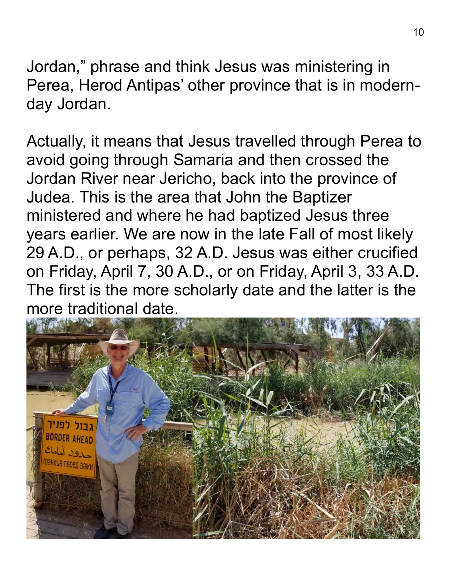Jordan," phrase and think Jesus was ministering in Perea, Herod Antipas' other province that is in modernday Jordan.

Actually, it means that Jesus travelled through Perea to avoid going through Samaria and then crossed the Jordan River near Jericho, back into the province of Judea. This is the area that John the Baptizer ministered and where he had baptized Jesus three years earlier. We are now in the late Fall of most likely 29 A.D., or perhaps, 32 A.D. Jesus was either crucified on Friday, April 7, 30 A.D., or on Friday, April 3, 33 A.D. The first is the more scholarly date and the latter is the more traditional date.

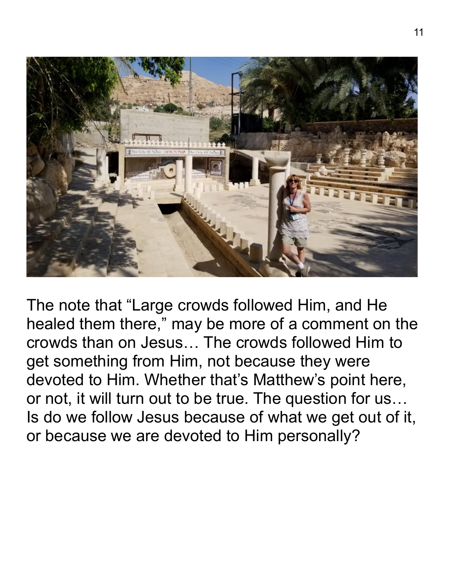

The note that "Large crowds followed Him, and He healed them there," may be more of a comment on the crowds than on Jesus… The crowds followed Him to get something from Him, not because they were devoted to Him. Whether that's Matthew's point here, or not, it will turn out to be true. The question for us… Is do we follow Jesus because of what we get out of it, or because we are devoted to Him personally?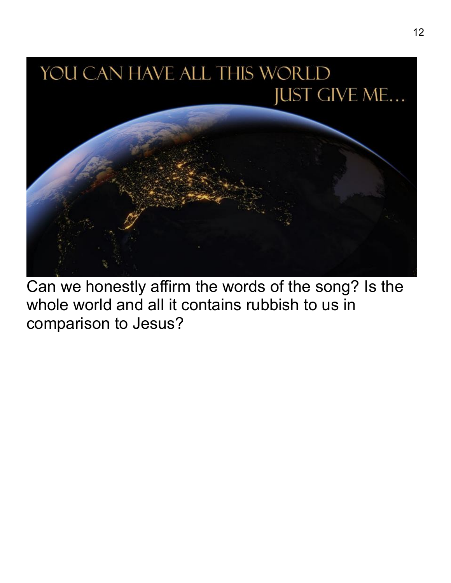

Can we honestly affirm the words of the song? Is the whole world and all it contains rubbish to us in comparison to Jesus?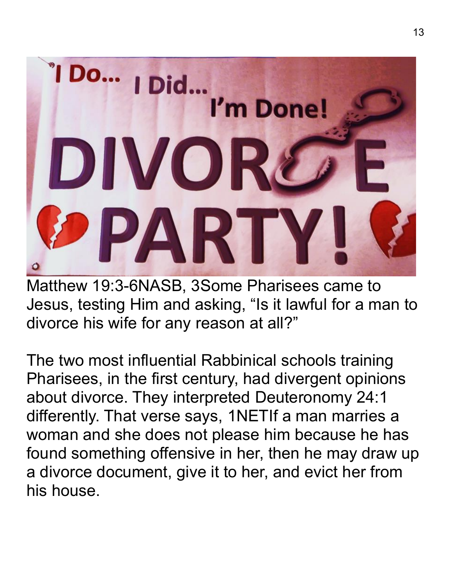

Matthew 19:3-6NASB, 3Some Pharisees came to Jesus, testing Him and asking, "Is it lawful for a man to divorce his wife for any reason at all?"

The two most influential Rabbinical schools training Pharisees, in the first century, had divergent opinions about divorce. They interpreted Deuteronomy 24:1 differently. That verse says, 1NETIf a man marries a woman and she does not please him because he has found something offensive in her, then he may draw up a divorce document, give it to her, and evict her from his house.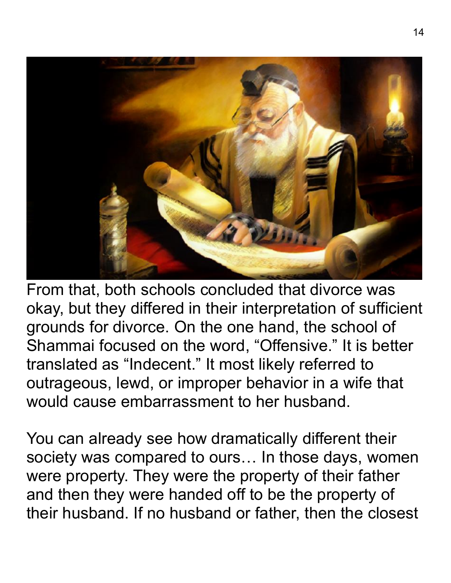

From that, both schools concluded that divorce was okay, but they differed in their interpretation of sufficient grounds for divorce. On the one hand, the school of Shammai focused on the word, "Offensive." It is better translated as "Indecent." It most likely referred to outrageous, lewd, or improper behavior in a wife that would cause embarrassment to her husband.

You can already see how dramatically different their society was compared to ours… In those days, women were property. They were the property of their father and then they were handed off to be the property of their husband. If no husband or father, then the closest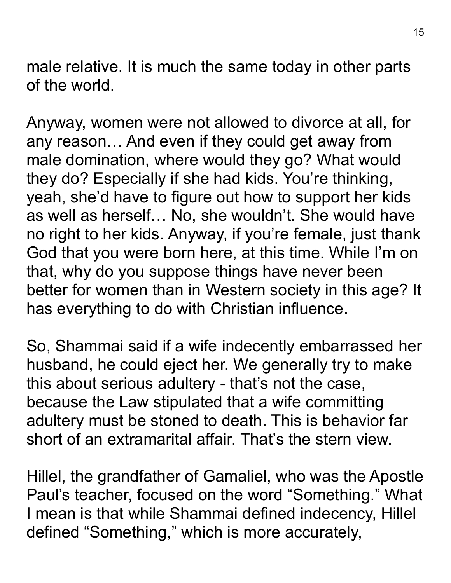male relative. It is much the same today in other parts of the world.

Anyway, women were not allowed to divorce at all, for any reason… And even if they could get away from male domination, where would they go? What would they do? Especially if she had kids. You're thinking, yeah, she'd have to figure out how to support her kids as well as herself… No, she wouldn't. She would have no right to her kids. Anyway, if you're female, just thank God that you were born here, at this time. While I'm on that, why do you suppose things have never been better for women than in Western society in this age? It has everything to do with Christian influence.

So, Shammai said if a wife indecently embarrassed her husband, he could eject her. We generally try to make this about serious adultery - that's not the case, because the Law stipulated that a wife committing adultery must be stoned to death. This is behavior far short of an extramarital affair. That's the stern view.

Hillel, the grandfather of Gamaliel, who was the Apostle Paul's teacher, focused on the word "Something." What I mean is that while Shammai defined indecency, Hillel defined "Something," which is more accurately,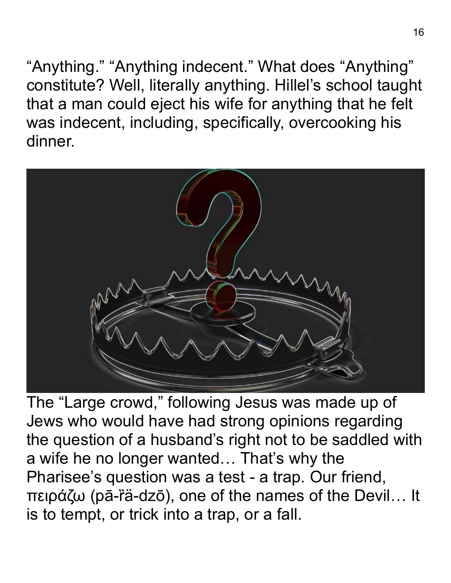"Anything." "Anything indecent." What does "Anything" constitute? Well, literally anything. Hillel's school taught that a man could eject his wife for anything that he felt was indecent, including, specifically, overcooking his dinner.



The "Large crowd," following Jesus was made up of Jews who would have had strong opinions regarding the question of a husband's right not to be saddled with a wife he no longer wanted… That's why the Pharisee's question was a test - a trap. Our friend, πειράζω (pā-ȑä-dzō), one of the names of the Devil… It is to tempt, or trick into a trap, or a fall.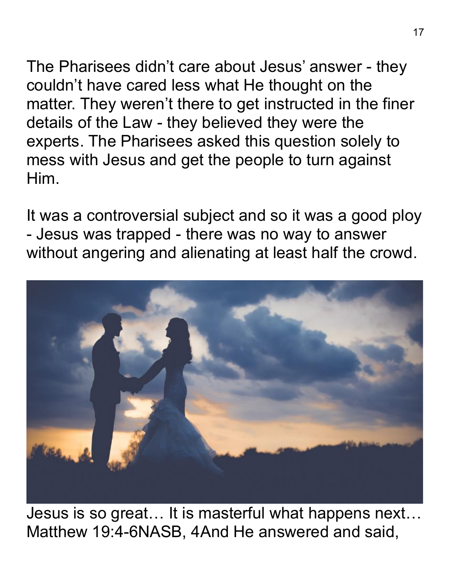The Pharisees didn't care about Jesus' answer - they couldn't have cared less what He thought on the matter. They weren't there to get instructed in the finer details of the Law - they believed they were the experts. The Pharisees asked this question solely to mess with Jesus and get the people to turn against Him.

It was a controversial subject and so it was a good ploy - Jesus was trapped - there was no way to answer without angering and alienating at least half the crowd.



Jesus is so great… It is masterful what happens next… Matthew 19:4-6NASB, 4And He answered and said,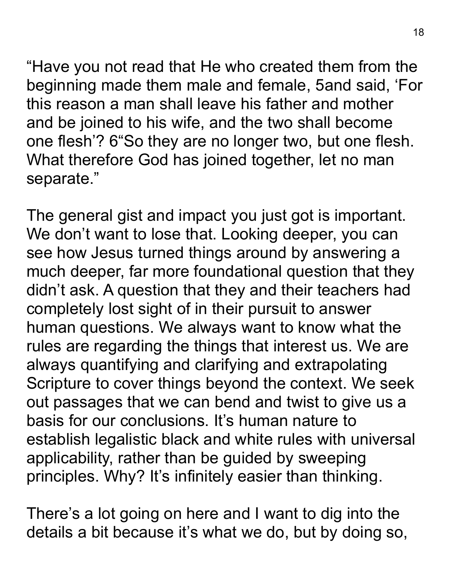"Have you not read that He who created them from the beginning made them male and female, 5and said, 'For this reason a man shall leave his father and mother and be joined to his wife, and the two shall become one flesh'? 6"So they are no longer two, but one flesh. What therefore God has joined together, let no man separate."

The general gist and impact you just got is important. We don't want to lose that. Looking deeper, you can see how Jesus turned things around by answering a much deeper, far more foundational question that they didn't ask. A question that they and their teachers had completely lost sight of in their pursuit to answer human questions. We always want to know what the rules are regarding the things that interest us. We are always quantifying and clarifying and extrapolating Scripture to cover things beyond the context. We seek out passages that we can bend and twist to give us a basis for our conclusions. It's human nature to establish legalistic black and white rules with universal applicability, rather than be guided by sweeping principles. Why? It's infinitely easier than thinking.

There's a lot going on here and I want to dig into the details a bit because it's what we do, but by doing so,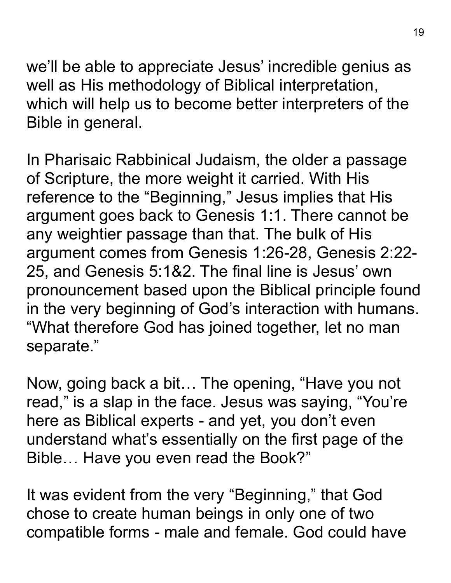we'll be able to appreciate Jesus' incredible genius as well as His methodology of Biblical interpretation, which will help us to become better interpreters of the Bible in general.

In Pharisaic Rabbinical Judaism, the older a passage of Scripture, the more weight it carried. With His reference to the "Beginning," Jesus implies that His argument goes back to Genesis 1:1. There cannot be any weightier passage than that. The bulk of His argument comes from Genesis 1:26-28, Genesis 2:22- 25, and Genesis 5:1&2. The final line is Jesus' own pronouncement based upon the Biblical principle found in the very beginning of God's interaction with humans. "What therefore God has joined together, let no man separate."

Now, going back a bit… The opening, "Have you not read," is a slap in the face. Jesus was saying, "You're here as Biblical experts - and yet, you don't even understand what's essentially on the first page of the Bible… Have you even read the Book?"

It was evident from the very "Beginning," that God chose to create human beings in only one of two compatible forms - male and female. God could have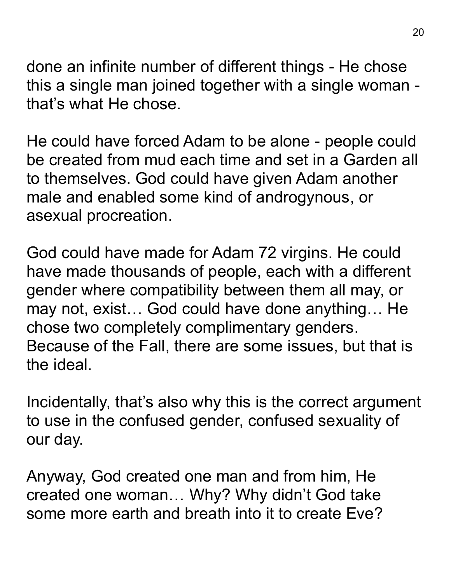done an infinite number of different things - He chose this a single man joined together with a single woman that's what He chose.

He could have forced Adam to be alone - people could be created from mud each time and set in a Garden all to themselves. God could have given Adam another male and enabled some kind of androgynous, or asexual procreation.

God could have made for Adam 72 virgins. He could have made thousands of people, each with a different gender where compatibility between them all may, or may not, exist… God could have done anything… He chose two completely complimentary genders. Because of the Fall, there are some issues, but that is the ideal.

Incidentally, that's also why this is the correct argument to use in the confused gender, confused sexuality of our day.

Anyway, God created one man and from him, He created one woman… Why? Why didn't God take some more earth and breath into it to create Eve?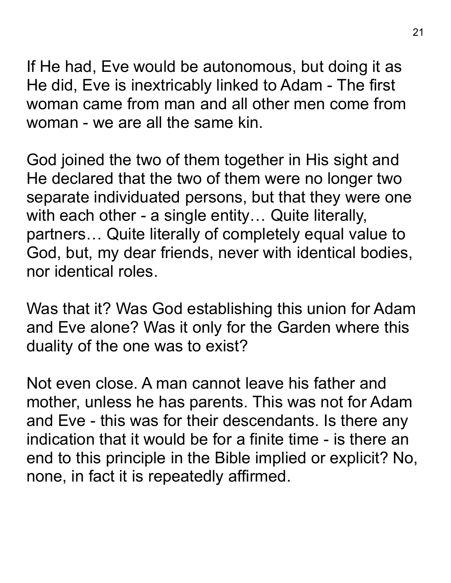If He had, Eve would be autonomous, but doing it as He did, Eve is inextricably linked to Adam - The first woman came from man and all other men come from woman - we are all the same kin.

God joined the two of them together in His sight and He declared that the two of them were no longer two separate individuated persons, but that they were one with each other - a single entity... Quite literally, partners… Quite literally of completely equal value to God, but, my dear friends, never with identical bodies, nor identical roles.

Was that it? Was God establishing this union for Adam and Eve alone? Was it only for the Garden where this duality of the one was to exist?

Not even close. A man cannot leave his father and mother, unless he has parents. This was not for Adam and Eve - this was for their descendants. Is there any indication that it would be for a finite time - is there an end to this principle in the Bible implied or explicit? No, none, in fact it is repeatedly affirmed.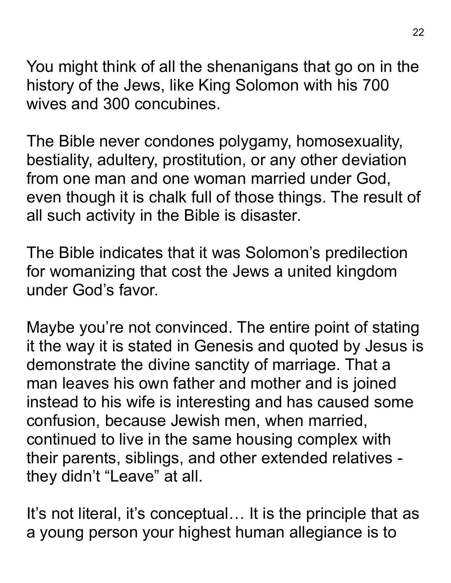You might think of all the shenanigans that go on in the history of the Jews, like King Solomon with his 700 wives and 300 concubines.

The Bible never condones polygamy, homosexuality, bestiality, adultery, prostitution, or any other deviation from one man and one woman married under God, even though it is chalk full of those things. The result of all such activity in the Bible is disaster.

The Bible indicates that it was Solomon's predilection for womanizing that cost the Jews a united kingdom under God's favor.

Maybe you're not convinced. The entire point of stating it the way it is stated in Genesis and quoted by Jesus is demonstrate the divine sanctity of marriage. That a man leaves his own father and mother and is joined instead to his wife is interesting and has caused some confusion, because Jewish men, when married, continued to live in the same housing complex with their parents, siblings, and other extended relatives they didn't "Leave" at all.

It's not literal, it's conceptual... It is the principle that as a young person your highest human allegiance is to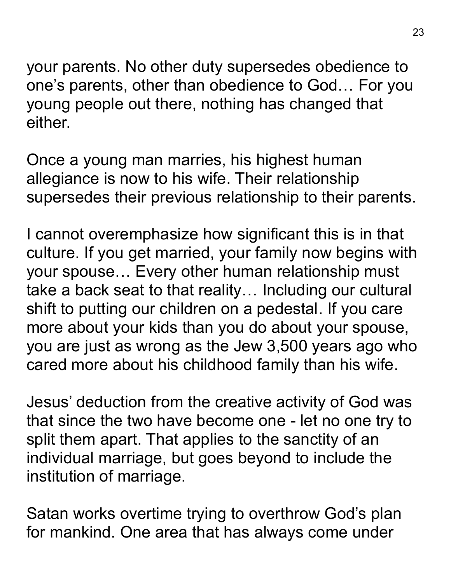your parents. No other duty supersedes obedience to one's parents, other than obedience to God… For you young people out there, nothing has changed that either.

Once a young man marries, his highest human allegiance is now to his wife. Their relationship supersedes their previous relationship to their parents.

I cannot overemphasize how significant this is in that culture. If you get married, your family now begins with your spouse… Every other human relationship must take a back seat to that reality… Including our cultural shift to putting our children on a pedestal. If you care more about your kids than you do about your spouse, you are just as wrong as the Jew 3,500 years ago who cared more about his childhood family than his wife.

Jesus' deduction from the creative activity of God was that since the two have become one - let no one try to split them apart. That applies to the sanctity of an individual marriage, but goes beyond to include the institution of marriage.

Satan works overtime trying to overthrow God's plan for mankind. One area that has always come under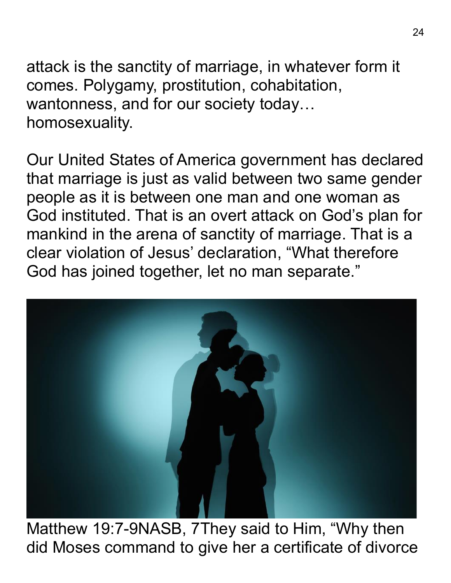attack is the sanctity of marriage, in whatever form it comes. Polygamy, prostitution, cohabitation, wantonness, and for our society today… homosexuality.

Our United States of America government has declared that marriage is just as valid between two same gender people as it is between one man and one woman as God instituted. That is an overt attack on God's plan for mankind in the arena of sanctity of marriage. That is a clear violation of Jesus' declaration, "What therefore God has joined together, let no man separate."



Matthew 19:7-9NASB, 7They said to Him, "Why then did Moses command to give her a certificate of divorce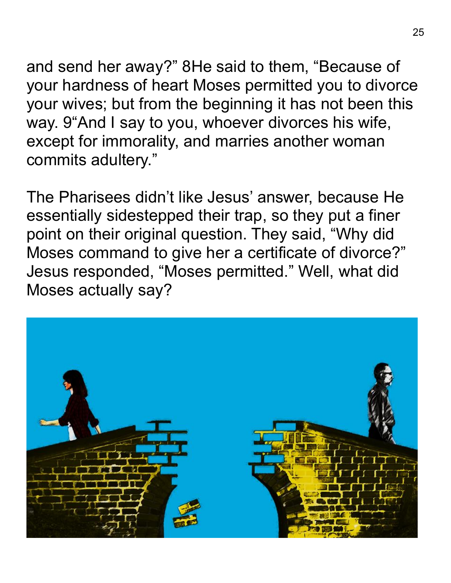and send her away?" 8He said to them, "Because of your hardness of heart Moses permitted you to divorce your wives; but from the beginning it has not been this way. 9"And I say to you, whoever divorces his wife, except for immorality, and marries another woman commits adultery."

The Pharisees didn't like Jesus' answer, because He essentially sidestepped their trap, so they put a finer point on their original question. They said, "Why did Moses command to give her a certificate of divorce?" Jesus responded, "Moses permitted." Well, what did Moses actually say?

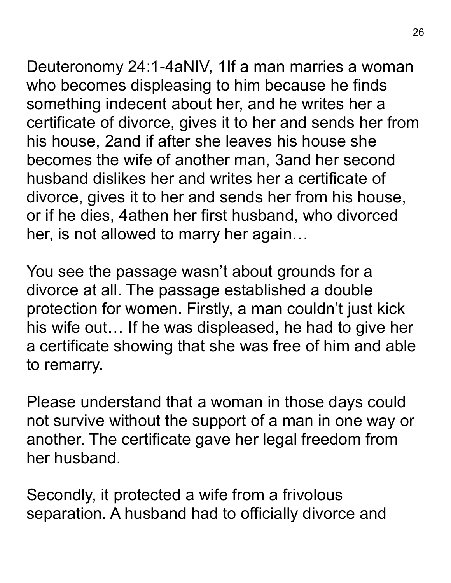Deuteronomy 24:1-4aNIV, 1If a man marries a woman who becomes displeasing to him because he finds something indecent about her, and he writes her a certificate of divorce, gives it to her and sends her from his house, 2and if after she leaves his house she becomes the wife of another man, 3and her second husband dislikes her and writes her a certificate of divorce, gives it to her and sends her from his house,

or if he dies, 4athen her first husband, who divorced her, is not allowed to marry her again…

You see the passage wasn't about grounds for a divorce at all. The passage established a double protection for women. Firstly, a man couldn't just kick his wife out… If he was displeased, he had to give her a certificate showing that she was free of him and able to remarry.

Please understand that a woman in those days could not survive without the support of a man in one way or another. The certificate gave her legal freedom from her husband.

Secondly, it protected a wife from a frivolous separation. A husband had to officially divorce and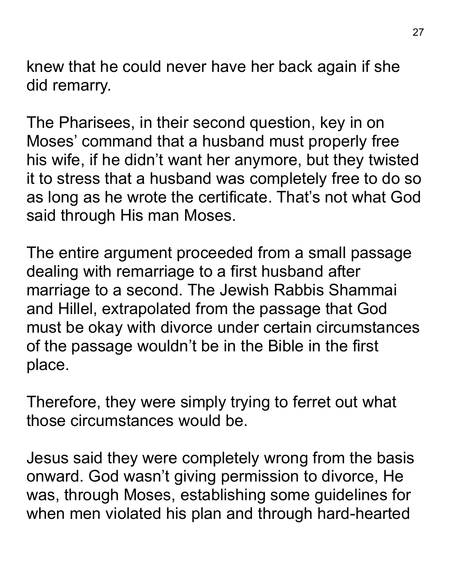knew that he could never have her back again if she did remarry.

The Pharisees, in their second question, key in on Moses' command that a husband must properly free his wife, if he didn't want her anymore, but they twisted it to stress that a husband was completely free to do so as long as he wrote the certificate. That's not what God said through His man Moses.

The entire argument proceeded from a small passage dealing with remarriage to a first husband after marriage to a second. The Jewish Rabbis Shammai and Hillel, extrapolated from the passage that God must be okay with divorce under certain circumstances of the passage wouldn't be in the Bible in the first place.

Therefore, they were simply trying to ferret out what those circumstances would be.

Jesus said they were completely wrong from the basis onward. God wasn't giving permission to divorce, He was, through Moses, establishing some guidelines for when men violated his plan and through hard-hearted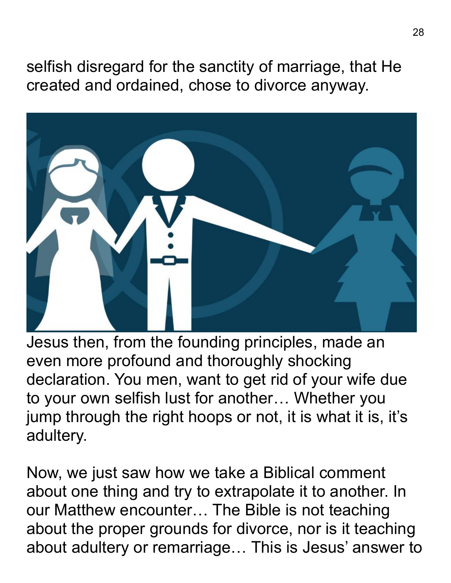selfish disregard for the sanctity of marriage, that He created and ordained, chose to divorce anyway.



Jesus then, from the founding principles, made an even more profound and thoroughly shocking declaration. You men, want to get rid of your wife due to your own selfish lust for another… Whether you jump through the right hoops or not, it is what it is, it's adultery.

Now, we just saw how we take a Biblical comment about one thing and try to extrapolate it to another. In our Matthew encounter… The Bible is not teaching about the proper grounds for divorce, nor is it teaching about adultery or remarriage… This is Jesus' answer to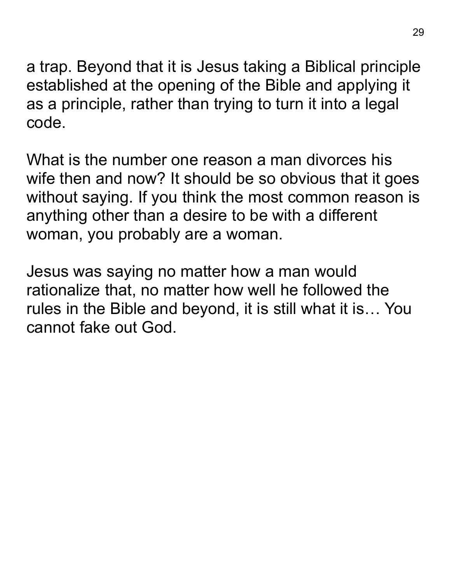a trap. Beyond that it is Jesus taking a Biblical principle established at the opening of the Bible and applying it as a principle, rather than trying to turn it into a legal code.

What is the number one reason a man divorces his wife then and now? It should be so obvious that it goes without saying. If you think the most common reason is anything other than a desire to be with a different woman, you probably are a woman.

Jesus was saying no matter how a man would rationalize that, no matter how well he followed the rules in the Bible and beyond, it is still what it is… You cannot fake out God.